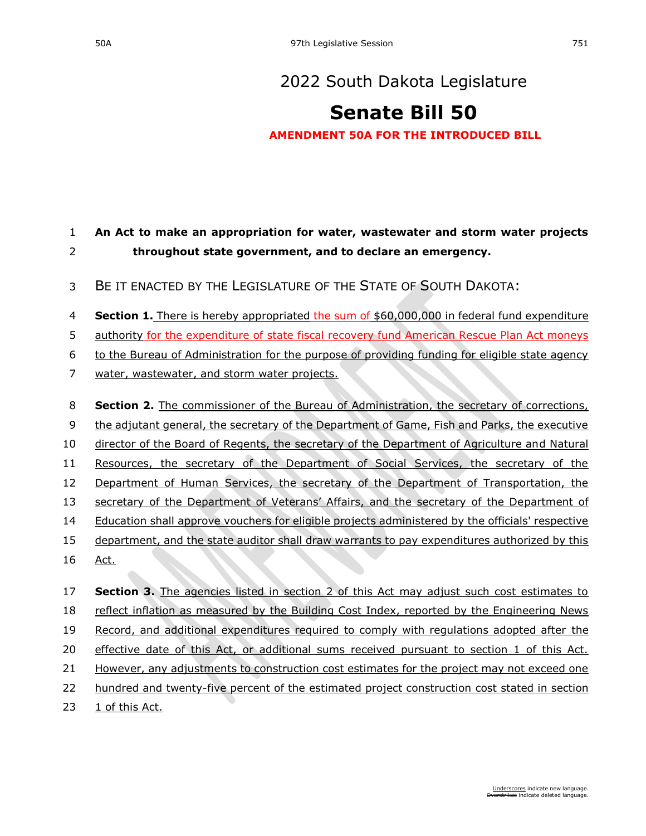## **[Senate Bill 50](https://sdlegislature.gov/Session/Bill/23014)**

**AMENDMENT 50A FOR THE INTRODUCED BILL**

## **An Act to make an appropriation for water, wastewater and storm water projects throughout state government, and to declare an emergency.**

- BE IT ENACTED BY THE LEGISLATURE OF THE STATE OF SOUTH DAKOTA:
- **Section 1.** There is hereby appropriated the sum of \$60,000,000 in federal fund expenditure
- authority for the expenditure of state fiscal recovery fund American Rescue Plan Act moneys
- to the Bureau of Administration for the purpose of providing funding for eligible state agency
- water, wastewater, and storm water projects.
- **Section 2.** The commissioner of the Bureau of Administration, the secretary of corrections, 9 the adjutant general, the secretary of the Department of Game, Fish and Parks, the executive director of the Board of Regents, the secretary of the Department of Agriculture and Natural Resources, the secretary of the Department of Social Services, the secretary of the 12 Department of Human Services, the secretary of the Department of Transportation, the secretary of the Department of Veterans' Affairs, and the secretary of the Department of Education shall approve vouchers for eligible projects administered by the officials' respective department, and the state auditor shall draw warrants to pay expenditures authorized by this Act. **Section 3.** The agencies listed in section 2 of this Act may adjust such cost estimates to
- reflect inflation as measured by the Building Cost Index, reported by the Engineering News Record, and additional expenditures required to comply with regulations adopted after the effective date of this Act, or additional sums received pursuant to section 1 of this Act. 21 However, any adjustments to construction cost estimates for the project may not exceed one
- hundred and twenty-five percent of the estimated project construction cost stated in section
- 1 of this Act.